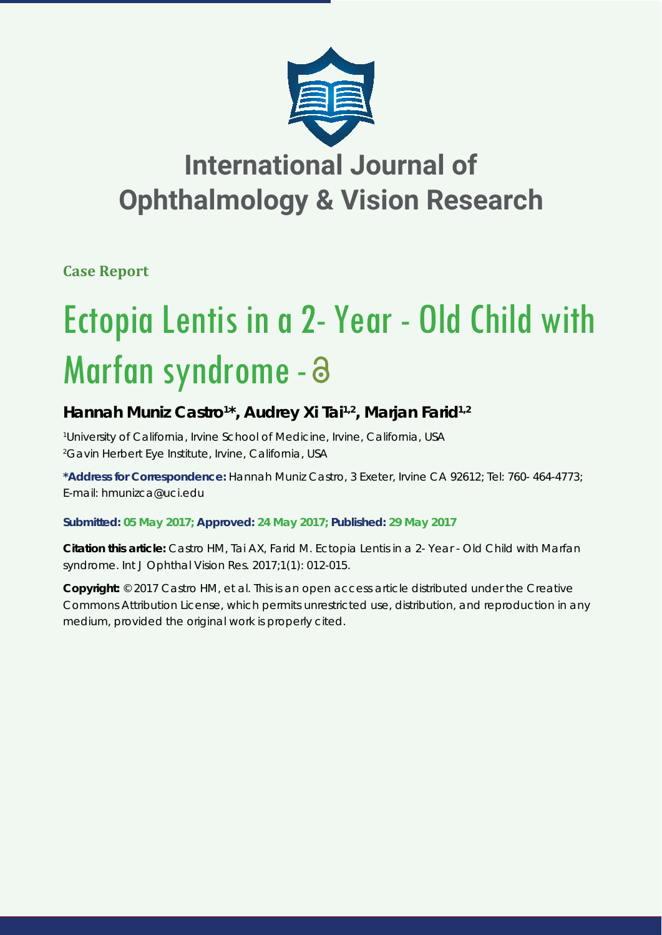

## **International Journal of Ophthalmology & Vision Research**

**Case Report**

# Ectopia Lentis in a 2- Year - Old Child with Marfan syndrome -

### Hannah Muniz Castro<sup>1\*</sup>, Audrey Xi Tai<sup>1,2</sup>, Marjan Farid<sup>1,2</sup>

*1 University of California, Irvine School of Medicine, Irvine, California, USA 2 Gavin Herbert Eye Institute, Irvine, California, USA*

**\*Address for Correspondence:** Hannah Muniz Castro, 3 Exeter, Irvine CA 92612; Tel: 760- 464-4773; E-mail: hmunizca@uci.edu

**Submitted: 05 May 2017; Approved: 24 May 2017; Published: 29 May 2017**

**Citation this article:** Castro HM, Tai AX, Farid M. Ectopia Lentis in a 2- Year - Old Child with Marfan syndrome. Int J Ophthal Vision Res. 2017;1(1): 012-015.

**Copyright:** © 2017 Castro HM, et al. This is an open access article distributed under the Creative Commons Attribution License, which permits unrestricted use, distribution, and reproduction in any medium, provided the original work is properly cited.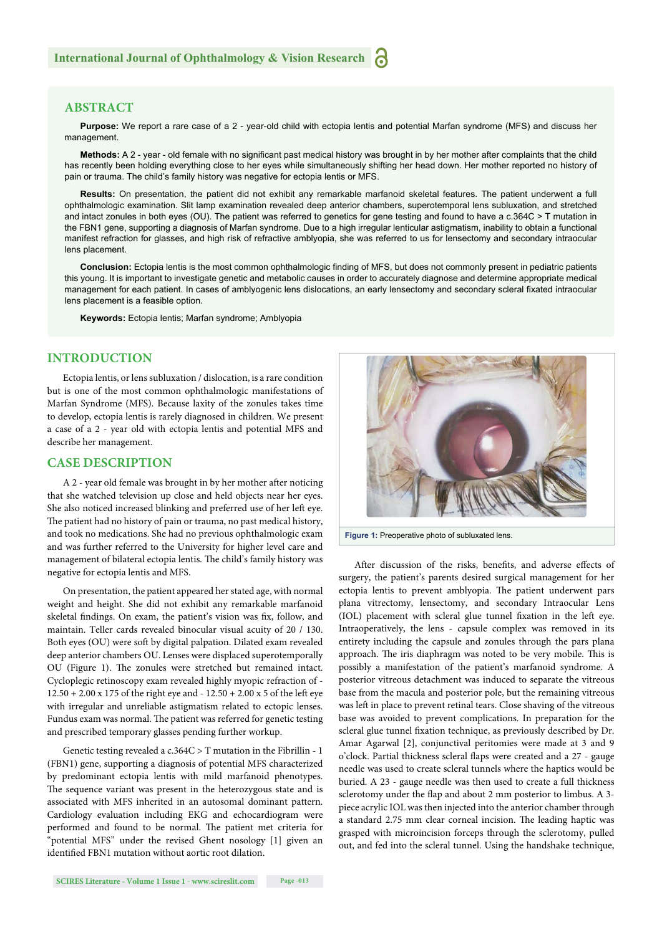#### **ABSTRACT**

**Purpose:** We report a rare case of a 2 - year-old child with ectopia lentis and potential Marfan syndrome (MFS) and discuss her management.

Methods: A 2 - year - old female with no significant past medical history was brought in by her mother after complaints that the child has recently been holding everything close to her eyes while simultaneously shifting her head down. Her mother reported no history of pain or trauma. The child's family history was negative for ectopia lentis or MFS.

**Results:** On presentation, the patient did not exhibit any remarkable marfanoid skeletal features. The patient underwent a full ophthalmologic examination. Slit lamp examination revealed deep anterior chambers, superotemporal lens subluxation, and stretched and intact zonules in both eyes (OU). The patient was referred to genetics for gene testing and found to have a c.364C > T mutation in the FBN1 gene, supporting a diagnosis of Marfan syndrome. Due to a high irregular lenticular astigmatism, inability to obtain a functional manifest refraction for glasses, and high risk of refractive amblyopia, she was referred to us for lensectomy and secondary intraocular lens placement.

Conclusion: Ectopia lentis is the most common ophthalmologic finding of MFS, but does not commonly present in pediatric patients this young. It is important to investigate genetic and metabolic causes in order to accurately diagnose and determine appropriate medical management for each patient. In cases of amblyogenic lens dislocations, an early lensectomy and secondary scleral fixated intraocular lens placement is a feasible option.

**Keywords:** Ectopia lentis; Marfan syndrome; Amblyopia

#### **INTRODUCTION**

Ectopia lentis, or lens subluxation / dislocation, is a rare condition but is one of the most common ophthalmologic manifestations of Marfan Syndrome (MFS). Because laxity of the zonules takes time to develop, ectopia lentis is rarely diagnosed in children. We present a case of a 2 - year old with ectopia lentis and potential MFS and describe her management.

#### **CASE DESCRIPTION**

A 2 - year old female was brought in by her mother after noticing that she watched television up close and held objects near her eyes. She also noticed increased blinking and preferred use of her left eye. The patient had no history of pain or trauma, no past medical history, and took no medications. She had no previous ophthalmologic exam and was further referred to the University for higher level care and management of bilateral ectopia lentis. The child's family history was negative for ectopia lentis and MFS.

On presentation, the patient appeared her stated age, with normal weight and height. She did not exhibit any remarkable marfanoid skeletal findings. On exam, the patient's vision was fix, follow, and maintain. Teller cards revealed binocular visual acuity of 20 / 130. Both eyes (OU) were soft by digital palpation. Dilated exam revealed deep anterior chambers OU. Lenses were displaced superotemporally OU (Figure 1). The zonules were stretched but remained intact. Cycloplegic retinoscopy exam revealed highly myopic refraction of - 12.50 + 2.00 x 175 of the right eye and - 12.50 + 2.00 x 5 of the left eye with irregular and unreliable astigmatism related to ectopic lenses. Fundus exam was normal. The patient was referred for genetic testing and prescribed temporary glasses pending further workup.

Genetic testing revealed a c.364C > T mutation in the Fibrillin - 1 (FBN1) gene, supporting a diagnosis of potential MFS characterized by predominant ectopia lentis with mild marfanoid phenotypes. The sequence variant was present in the heterozygous state and is associated with MFS inherited in an autosomal dominant pattern. Cardiology evaluation including EKG and echocardiogram were performed and found to be normal. The patient met criteria for "potential MFS" under the revised Ghent nosology [1] given an identified FBN1 mutation without aortic root dilation.



**Figure 1:** Preoperative photo of subluxated lens.

After discussion of the risks, benefits, and adverse effects of surgery, the patient's parents desired surgical management for her ectopia lentis to prevent amblyopia. The patient underwent pars plana vitrectomy, lensectomy, and secondary Intraocular Lens (IOL) placement with scleral glue tunnel fixation in the left eye. Intraoperatively, the lens - capsule complex was removed in its entirety including the capsule and zonules through the pars plana approach. The iris diaphragm was noted to be very mobile. This is possibly a manifestation of the patient's marfanoid syndrome. A posterior vitreous detachment was induced to separate the vitreous base from the macula and posterior pole, but the remaining vitreous was left in place to prevent retinal tears. Close shaving of the vitreous base was avoided to prevent complications. In preparation for the scleral glue tunnel fixation technique, as previously described by Dr. Amar Agarwal [2], conjunctival peritomies were made at 3 and 9 o'clock. Partial thickness scleral flaps were created and a 27 - gauge needle was used to create scleral tunnels where the haptics would be buried. A 23 - gauge needle was then used to create a full thickness sclerotomy under the flap and about 2 mm posterior to limbus. A 3piece acrylic IOL was then injected into the anterior chamber through a standard 2.75 mm clear corneal incision. The leading haptic was grasped with microincision forceps through the sclerotomy, pulled out, and fed into the scleral tunnel. Using the handshake technique,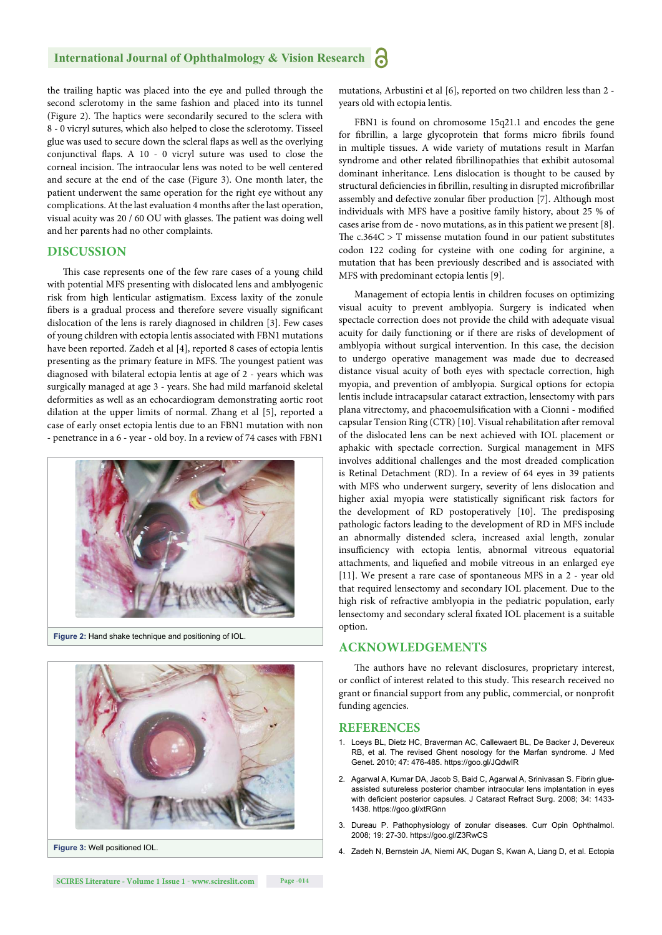#### **International Journal of Ophthalmology & Vision Research**

the trailing haptic was placed into the eye and pulled through the second sclerotomy in the same fashion and placed into its tunnel (Figure 2). The haptics were secondarily secured to the sclera with 8 - 0 vicryl sutures, which also helped to close the sclerotomy. Tisseel glue was used to secure down the scleral flaps as well as the overlying conjunctival flaps. A 10 - 0 vicryl suture was used to close the corneal incision. The intraocular lens was noted to be well centered and secure at the end of the case (Figure 3). One month later, the patient underwent the same operation for the right eye without any complications. At the last evaluation 4 months after the last operation, visual acuity was 20 / 60 OU with glasses. The patient was doing well and her parents had no other complaints.

#### **DISCUSSION**

This case represents one of the few rare cases of a young child with potential MFS presenting with dislocated lens and amblyogenic risk from high lenticular astigmatism. Excess laxity of the zonule fibers is a gradual process and therefore severe visually significant dislocation of the lens is rarely diagnosed in children [3]. Few cases of young children with ectopia lentis associated with FBN1 mutations have been reported. Zadeh et al [4], reported 8 cases of ectopia lentis presenting as the primary feature in MFS. The youngest patient was diagnosed with bilateral ectopia lentis at age of 2 - years which was surgically managed at age 3 - years. She had mild marfanoid skeletal deformities as well as an echocardiogram demonstrating aortic root dilation at the upper limits of normal. Zhang et al [5], reported a case of early onset ectopia lentis due to an FBN1 mutation with non - penetrance in a 6 - year - old boy. In a review of 74 cases with FBN1



Figure 2: Hand shake technique and positioning of IOL.



**Figure 3:** Well positioned IOL.

**SCIRES Literature - Volume 1 Issue 1 - www.scireslit.com Page -014**

mutations, Arbustini et al [6], reported on two children less than 2 years old with ectopia lentis.

FBN1 is found on chromosome 15q21.1 and encodes the gene for fibrillin, a large glycoprotein that forms micro fibrils found in multiple tissues. A wide variety of mutations result in Marfan syndrome and other related fibrillinopathies that exhibit autosomal dominant inheritance. Lens dislocation is thought to be caused by structural deficiencies in fibrillin, resulting in disrupted microfibrillar assembly and defective zonular fiber production [7]. Although most individuals with MFS have a positive family history, about 25 % of cases arise from de - novo mutations, as in this patient we present [8]. The  $c.364C > T$  missense mutation found in our patient substitutes codon 122 coding for cysteine with one coding for arginine, a mutation that has been previously described and is associated with MFS with predominant ectopia lentis [9].

Management of ectopia lentis in children focuses on optimizing visual acuity to prevent amblyopia. Surgery is indicated when spectacle correction does not provide the child with adequate visual acuity for daily functioning or if there are risks of development of amblyopia without surgical intervention. In this case, the decision to undergo operative management was made due to decreased distance visual acuity of both eyes with spectacle correction, high myopia, and prevention of amblyopia. Surgical options for ectopia lentis include intracapsular cataract extraction, lensectomy with pars plana vitrectomy, and phacoemulsification with a Cionni - modified capsular Tension Ring (CTR) [10]. Visual rehabilitation after removal of the dislocated lens can be next achieved with IOL placement or aphakic with spectacle correction. Surgical management in MFS involves additional challenges and the most dreaded complication is Retinal Detachment (RD). In a review of 64 eyes in 39 patients with MFS who underwent surgery, severity of lens dislocation and higher axial myopia were statistically significant risk factors for the development of RD postoperatively [10]. The predisposing pathologic factors leading to the development of RD in MFS include an abnormally distended sclera, increased axial length, zonular insufficiency with ectopia lentis, abnormal vitreous equatorial attachments, and liquefied and mobile vitreous in an enlarged eye [11]. We present a rare case of spontaneous MFS in a 2 - year old that required lensectomy and secondary IOL placement. Due to the high risk of refractive amblyopia in the pediatric population, early lensectomy and secondary scleral fixated IOL placement is a suitable option.

#### **ACKNOWLEDGEMENTS**

The authors have no relevant disclosures, proprietary interest, or conflict of interest related to this study. This research received no grant or financial support from any public, commercial, or nonprofit funding agencies.

#### **REFERENCES**

- 1. Loeys BL, Dietz HC, Braverman AC, Callewaert BL, De Backer J, Devereux RB, et al. The revised Ghent nosology for the Marfan syndrome. J Med Genet. 2010; 47: 476-485. https://goo.gl/JQdwIR
- 2. Agarwal A, Kumar DA, Jacob S, Baid C, Agarwal A, Srinivasan S. Fibrin glueassisted sutureless posterior chamber intraocular lens implantation in eyes with deficient posterior capsules. J Cataract Refract Surg. 2008; 34: 1433-1438. https://goo.gl/xtRGnn
- 3. Dureau P. Pathophysiology of zonular diseases. Curr Opin Ophthalmol. 2008; 19: 27-30. https://goo.gl/Z3RwCS
- 4. Zadeh N, Bernstein JA, Niemi AK, Dugan S, Kwan A, Liang D, et al. Ectopia